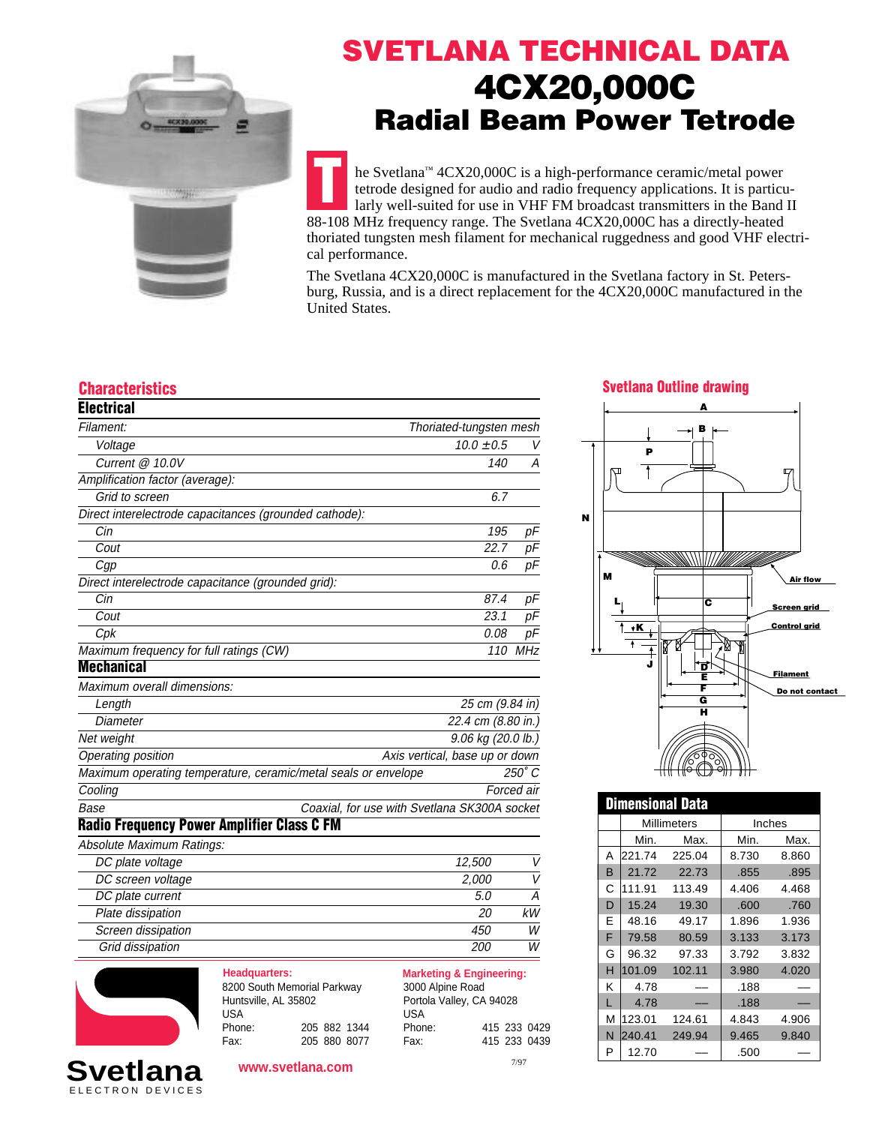

## **SVETLANA TECHNICAL DATA 4CX20,000C Radial Beam Power Tetrode**

**T** he Svetlana™ 4CX20,000C is a high-performance ceramic/metal power tetrode designed for audio and radio frequency applications. It is particularly well-suited for use in VHF FM broadcast transmitters in the Band II 88-108 MHz frequency range. The Svetlana 4CX20,000C has a directly-heated thoriated tungsten mesh filament for mechanical ruggedness and good VHF electrical performance.

The Svetlana 4CX20,000C is manufactured in the Svetlana factory in St. Petersburg, Russia, and is a direct replacement for the 4CX20,000C manufactured in the United States.

| <b>Electrical</b>                                              |                                              |               |
|----------------------------------------------------------------|----------------------------------------------|---------------|
| Filament:                                                      | Thoriated-tungsten mesh                      |               |
| Voltage                                                        | $10.0 \pm 0.5$                               | V             |
| Current @ 10.0V                                                | 140                                          | Α             |
| Amplification factor (average):                                |                                              |               |
| Grid to screen                                                 | 6.7                                          |               |
| Direct interelectrode capacitances (grounded cathode):         |                                              |               |
| Cin                                                            | 195                                          | pF            |
| Cout                                                           | 22.7                                         | pF            |
| Cgp                                                            | 0.6                                          | pF            |
| Direct interelectrode capacitance (grounded grid):             |                                              |               |
| Cin                                                            | 87.4                                         | рF            |
| Cout                                                           | 23.1                                         | рF            |
| Cpk                                                            | 0.08                                         | рF            |
| Maximum frequency for full ratings (CW)                        | 110                                          | MHz           |
| <b>Mechanical</b>                                              |                                              |               |
| Maximum overall dimensions:                                    |                                              |               |
| Length                                                         | 25 cm (9.84 in)                              |               |
| Diameter                                                       | 22.4 cm (8.80 in.)                           |               |
| Net weight                                                     | 9.06 kg (20.0 lb.)                           |               |
| Operating position                                             | Axis vertical, base up or down               |               |
| Maximum operating temperature, ceramic/metal seals or envelope |                                              | $250^\circ C$ |
| Cooling                                                        |                                              | Forced air    |
| Base                                                           | Coaxial, for use with Svetlana SK300A socket |               |
| <b>Radio Frequency Power Amplifier Class C FM</b>              |                                              |               |
| Absolute Maximum Ratings:                                      |                                              |               |
| DC plate voltage                                               | 12,500                                       | V             |
| DC screen voltage                                              | 2,000                                        | V             |
| DC plate current                                               | 5.0                                          | А             |
| Plate dissipation                                              | 20                                           | kW            |
| Screen dissipation                                             | 450                                          | W             |
| Grid dissipation                                               | 200                                          | W             |



ELECTRON DEVICES **Svetlana**

| <b>Headquarters:</b>        |  |              |
|-----------------------------|--|--------------|
| 8200 South Memorial Parkway |  |              |
| Huntsville, AL 35802        |  |              |
| USA                         |  |              |
| Phone:                      |  | 205 882 1344 |
| Fax:                        |  | 205 880 8077 |

**Marketing & Engineering:** 3000 Alpine Road Portola Valley, CA 94028 USA A39

| Phone: |      | 415 233 0429 |
|--------|------|--------------|
| Fax:   |      | 415 233 0439 |
|        | 7/97 |              |

### **Characteristics Svetlana Outline drawing**



| <b>Dimensional Data</b> |             |        |        |       |
|-------------------------|-------------|--------|--------|-------|
|                         | Millimeters |        | Inches |       |
|                         | Min.        | Max.   | Min.   | Max.  |
| А                       | 221.74      | 225.04 | 8.730  | 8.860 |
| в                       | 21.72       | 22.73  | .855   | .895  |
| С                       | 111.91      | 113.49 | 4.406  | 4.468 |
| D                       | 15.24       | 19.30  | .600   | .760  |
| F                       | 48.16       | 49.17  | 1.896  | 1.936 |
| F                       | 79.58       | 80.59  | 3.133  | 3.173 |
| G                       | 96.32       | 97.33  | 3.792  | 3.832 |
| н                       | 101.09      | 102.11 | 3.980  | 4.020 |
| κ                       | 4.78        |        | .188   |       |
| Г                       | 4.78        |        | .188   |       |
| М                       | 123.01      | 124.61 | 4.843  | 4.906 |
| N                       | 240.41      | 249.94 | 9.465  | 9.840 |
| P                       | 12.70       |        | .500   |       |

**www.svetlana.com**